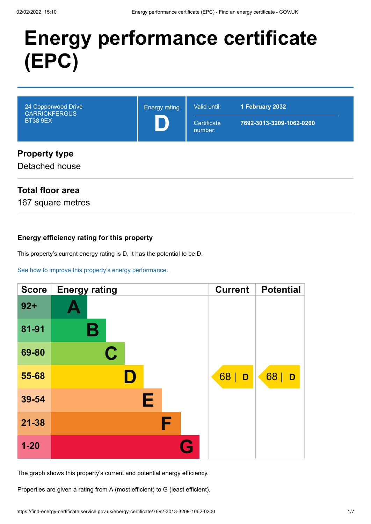# **Energy performance certificate (EPC)**



# **Total floor area**

167 square metres

### **Energy efficiency rating for this property**

This property's current energy rating is D. It has the potential to be D.

[See how to improve this property's energy performance.](#page-3-0)

| <b>Score</b> | <b>Energy rating</b> | <b>Current</b> | <b>Potential</b> |
|--------------|----------------------|----------------|------------------|
| $92 +$       |                      |                |                  |
| 81-91        | В                    |                |                  |
| 69-80        | C                    |                |                  |
| 55-68        | D                    | 68<br>D        | 68   D           |
| 39-54        | Е                    |                |                  |
| $21 - 38$    | F                    |                |                  |
| $1 - 20$     |                      |                |                  |

The graph shows this property's current and potential energy efficiency.

Properties are given a rating from A (most efficient) to G (least efficient).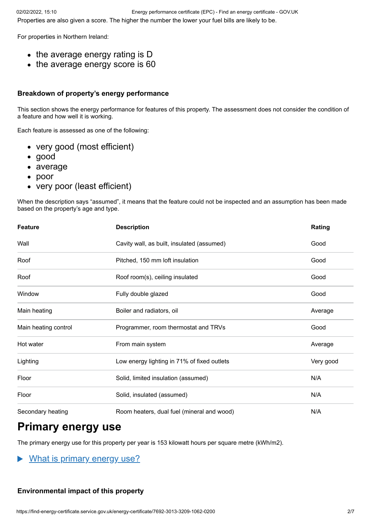For properties in Northern Ireland:

- $\bullet$  the average energy rating is D
- the average energy score is 60

#### **Breakdown of property's energy performance**

This section shows the energy performance for features of this property. The assessment does not consider the condition of a feature and how well it is working.

Each feature is assessed as one of the following:

- very good (most efficient)
- good
- average
- poor
- very poor (least efficient)  $\bullet$

When the description says "assumed", it means that the feature could not be inspected and an assumption has been made based on the property's age and type.

| <b>Feature</b>       | <b>Description</b>                          | Rating    |
|----------------------|---------------------------------------------|-----------|
| Wall                 | Cavity wall, as built, insulated (assumed)  | Good      |
| Roof                 | Pitched, 150 mm loft insulation             | Good      |
| Roof                 | Roof room(s), ceiling insulated             | Good      |
| Window               | Fully double glazed                         | Good      |
| Main heating         | Boiler and radiators, oil                   | Average   |
| Main heating control | Programmer, room thermostat and TRVs        | Good      |
| Hot water            | From main system                            | Average   |
| Lighting             | Low energy lighting in 71% of fixed outlets | Very good |
| Floor                | Solid, limited insulation (assumed)         | N/A       |
| Floor                | Solid, insulated (assumed)                  | N/A       |
| Secondary heating    | Room heaters, dual fuel (mineral and wood)  | N/A       |

# **Primary energy use**

The primary energy use for this property per year is 153 kilowatt hours per square metre (kWh/m2).

What is primary energy use?

#### **Environmental impact of this property**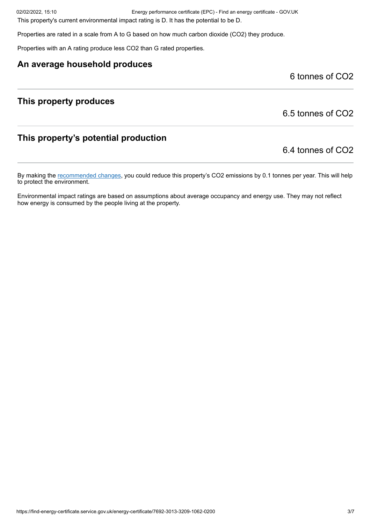02/02/2022, 15:10 Energy performance certificate (EPC) - Find an energy certificate - GOV.UK

This property's current environmental impact rating is D. It has the potential to be D.

Properties are rated in a scale from A to G based on how much carbon dioxide (CO2) they produce.

Properties with an A rating produce less CO2 than G rated properties.

### **An average household produces**

6 tonnes of CO2

# **This property produces**

6.5 tonnes of CO2

# **This property's potential production**

6.4 tonnes of CO2

By making the [recommended changes](#page-3-0), you could reduce this property's CO2 emissions by 0.1 tonnes per year. This will help to protect the environment.

Environmental impact ratings are based on assumptions about average occupancy and energy use. They may not reflect how energy is consumed by the people living at the property.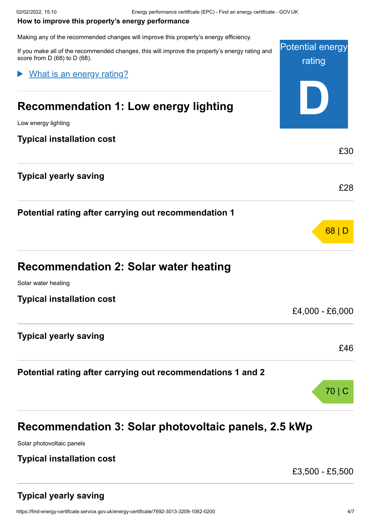#### <span id="page-3-0"></span>**How to improve this property's energy performance**

Making any of the recommended changes will improve this property's energy efficiency.

Potential energy rating **D** If you make all of the recommended changes, this will improve the property's energy rating and score from D (68) to D (68). **Recommendation 1: Low energy lighting** Low energy lighting **Typical installation cost** £30 **Typical yearly saving** £28 **Potential rating after carrying out recommendation 1** 68 | D **Recommendation 2: Solar water heating** Solar water heating **Typical installation cost** £4,000 - £6,000 **Typical yearly saving** £46 **Potential rating after carrying out recommendations 1 and 2** 70 | C What is an energy rating?

# **Recommendation 3: Solar photovoltaic panels, 2.5 kWp**

Solar photovoltaic panels

# **Typical installation cost**

£3,500 - £5,500

# **Typical yearly saving**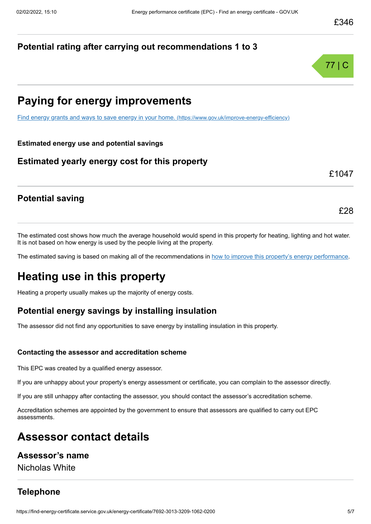# **Potential rating after carrying out recommendations 1 to 3**



# **Paying for energy improvements**

[Find energy grants and ways to save energy in your home.](https://www.gov.uk/improve-energy-efficiency) (https://www.gov.uk/improve-energy-efficiency)

**Estimated energy use and potential savings**

# **Estimated yearly energy cost for this property**

£1047

£28

# **Potential saving**

The estimated cost shows how much the average household would spend in this property for heating, lighting and hot water. It is not based on how energy is used by the people living at the property.

The estimated saving is based on making all of the recommendations in [how to improve this property's energy performance.](#page-3-0)

# **Heating use in this property**

Heating a property usually makes up the majority of energy costs.

# **Potential energy savings by installing insulation**

The assessor did not find any opportunities to save energy by installing insulation in this property.

#### **Contacting the assessor and accreditation scheme**

This EPC was created by a qualified energy assessor.

If you are unhappy about your property's energy assessment or certificate, you can complain to the assessor directly.

If you are still unhappy after contacting the assessor, you should contact the assessor's accreditation scheme.

Accreditation schemes are appointed by the government to ensure that assessors are qualified to carry out EPC assessments.

# **Assessor contact details**

# **Assessor's name**

Nicholas White

# **Telephone**